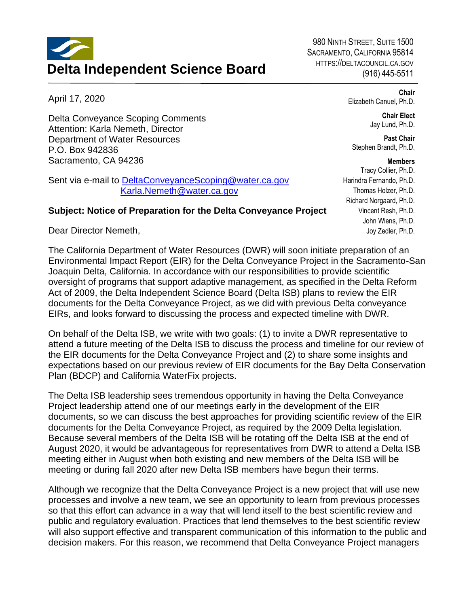## **Delta Independent Science Board**

980 NINTH STREET, SUITE 1500 SACRAMENTO, CALIFORNIA 95814 HTTPS://DELTACOUNCIL.CA.GOV (916) 445-5511

April 17, 2020

Delta Conveyance Scoping Comments Attention: Karla Nemeth, Director Department of Water Resources P.O. Box 942836 Sacramento, CA 94236

Sent via e-mail to [DeltaConveyanceScoping@water.ca.gov](mailto:DeltaConveyanceScoping@water.ca.gov) [Karla.Nemeth@water.ca.gov](mailto:Karla.Nemeth@water.ca.gov)

## **Subject: Notice of Preparation for the Delta Conveyance Project**

Dear Director Nemeth,

The California Department of Water Resources (DWR) will soon initiate preparation of an Environmental Impact Report (EIR) for the Delta Conveyance Project in the Sacramento-San Joaquin Delta, California. In accordance with our responsibilities to provide scientific oversight of programs that support adaptive management, as specified in the Delta Reform Act of 2009, the Delta Independent Science Board (Delta ISB) plans to review the EIR documents for the Delta Conveyance Project, as we did with previous Delta conveyance EIRs, and looks forward to discussing the process and expected timeline with DWR.

On behalf of the Delta ISB, we write with two goals: (1) to invite a DWR representative to attend a future meeting of the Delta ISB to discuss the process and timeline for our review of the EIR documents for the Delta Conveyance Project and (2) to share some insights and expectations based on our previous review of EIR documents for the Bay Delta Conservation Plan (BDCP) and California WaterFix projects.

The Delta ISB leadership sees tremendous opportunity in having the Delta Conveyance Project leadership attend one of our meetings early in the development of the EIR documents, so we can discuss the best approaches for providing scientific review of the EIR documents for the Delta Conveyance Project, as required by the 2009 Delta legislation. Because several members of the Delta ISB will be rotating off the Delta ISB at the end of August 2020, it would be advantageous for representatives from DWR to attend a Delta ISB meeting either in August when both existing and new members of the Delta ISB will be meeting or during fall 2020 after new Delta ISB members have begun their terms.

Although we recognize that the Delta Conveyance Project is a new project that will use new processes and involve a new team, we see an opportunity to learn from previous processes so that this effort can advance in a way that will lend itself to the best scientific review and public and regulatory evaluation. Practices that lend themselves to the best scientific review will also support effective and transparent communication of this information to the public and decision makers. For this reason, we recommend that Delta Conveyance Project managers

**Members**  Tracy Collier, Ph.D. Harindra Fernando, Ph.D. Thomas Holzer, Ph.D. Richard Norgaard, Ph.D. Vincent Resh, Ph.D. John Wiens, Ph.D. Joy Zedler, Ph.D.

Elizabeth Canuel, Ph.D.

Stephen Brandt, Ph.D.

**Chair** 

**Chair Elect**  Jay Lund, Ph.D.

**Past Chair**